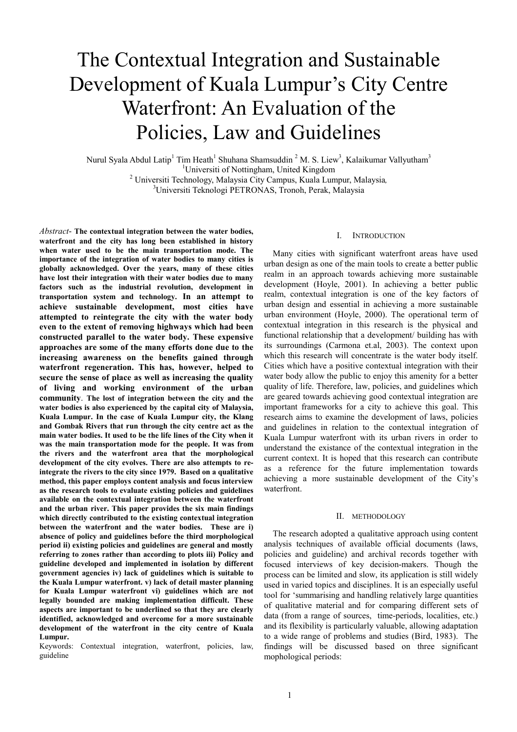# The Contextual Integration and Sustainable Development of Kuala Lumpur's City Centre Waterfront: An Evaluation of the Policies, Law and Guidelines

Nurul Syala Abdul Latip<sup>1</sup> Tim Heath<sup>1</sup> Shuhana Shamsuddin <sup>2</sup> M. S. Liew<sup>3</sup>, Kalaikumar Vallyutham<sup>3</sup> <sup>1</sup>Universiti of Nottingham, United Kingdom <sup>2</sup> Universiti Technology, Malaysia City Campus, Kuala Lumpur, Malaysia*,* 

<sup>3</sup>Universiti Teknologi PETRONAS, Tronoh, Perak, Malaysia

*Abstract*- **The contextual integration between the water bodies, waterfront and the city has long been established in history when water used to be the main transportation mode. The importance of the integration of water bodies to many cities is globally acknowledged. Over the years, many of these cities have lost their integration with their water bodies due to many factors such as the industrial revolution, development in transportation system and technology. In an attempt to achieve sustainable development, most cities have attempted to reintegrate the city with the water body even to the extent of removing highways which had been constructed parallel to the water body. These expensive approaches are some of the many efforts done due to the increasing awareness on the benefits gained through waterfront regeneration. This has, however, helped to secure the sense of place as well as increasing the quality of living and working environment of the urban community**. **The lost of integration between the city and the water bodies is also experienced by the capital city of Malaysia, Kuala Lumpur. In the case of Kuala Lumpur city, the Klang and Gombak Rivers that run through the city centre act as the main water bodies. It used to be the life lines of the City when it was the main transportation mode for the people. It was from the rivers and the waterfront area that the morphological development of the city evolves. There are also attempts to reintegrate the rivers to the city since 1979. Based on a qualitative method, this paper employs content analysis and focus interview as the research tools to evaluate existing policies and guidelines available on the contextual integration between the waterfront and the urban river. This paper provides the six main findings which directly contributed to the existing contextual integration between the waterfront and the water bodies. These are i) absence of policy and guidelines before the third morphological period ii) existing policies and guidelines are general and mostly referring to zones rather than according to plots iii) Policy and guideline developed and implemented in isolation by different government agencies iv) lack of guidelines which is suitable to the Kuala Lumpur waterfront. v) lack of detail master planning for Kuala Lumpur waterfront vi) guidelines which are not legally bounded are making implementation difficult. These aspects are important to be underlined so that they are clearly identified, acknowledged and overcome for a more sustainable development of the waterfront in the city centre of Kuala Lumpur.** 

Keywords: Contextual integration, waterfront, policies, law, guideline

# I. INTRODUCTION

Many cities with significant waterfront areas have used urban design as one of the main tools to create a better public realm in an approach towards achieving more sustainable development (Hoyle, 2001). In achieving a better public realm, contextual integration is one of the key factors of urban design and essential in achieving a more sustainable urban environment (Hoyle, 2000). The operational term of contextual integration in this research is the physical and functional relationship that a development/ building has with its surroundings (Carmona et.al, 2003). The context upon which this research will concentrate is the water body itself. Cities which have a positive contextual integration with their water body allow the public to enjoy this amenity for a better quality of life. Therefore, law, policies, and guidelines which are geared towards achieving good contextual integration are important frameworks for a city to achieve this goal. This research aims to examine the development of laws, policies and guidelines in relation to the contextual integration of Kuala Lumpur waterfront with its urban rivers in order to understand the existance of the contextual integration in the current context. It is hoped that this research can contribute as a reference for the future implementation towards achieving a more sustainable development of the City's waterfront.

# II. METHODOLOGY

The research adopted a qualitative approach using content analysis techniques of available official documents (laws, policies and guideline) and archival records together with focused interviews of key decision-makers. Though the process can be limited and slow, its application is still widely used in varied topics and disciplines. It is an especially useful tool for 'summarising and handling relatively large quantities of qualitative material and for comparing different sets of data (from a range of sources, time-periods, localities, etc.) and its flexibility is particularly valuable, allowing adaptation to a wide range of problems and studies (Bird, 1983). The findings will be discussed based on three significant mophological periods: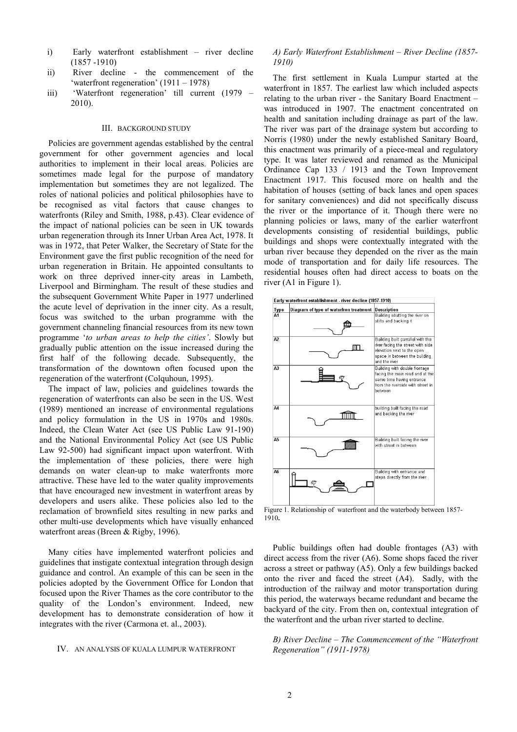- i) Early waterfront establishment river decline (1857 -1910)
- ii) River decline the commencement of the 'waterfront regeneration' (1911 – 1978)
- iii) 'Waterfront regeneration' till current (1979 2010).

# III. BACKGROUND STUDY

Policies are government agendas established by the central government for other government agencies and local authorities to implement in their local areas. Policies are sometimes made legal for the purpose of mandatory implementation but sometimes they are not legalized. The roles of national policies and political philosophies have to be recognised as vital factors that cause changes to waterfronts (Riley and Smith, 1988, p.43). Clear evidence of the impact of national policies can be seen in UK towards urban regeneration through its Inner Urban Area Act, 1978. It was in 1972, that Peter Walker, the Secretary of State for the Environment gave the first public recognition of the need for urban regeneration in Britain. He appointed consultants to work on three deprived inner-city areas in Lambeth, Liverpool and Birmingham. The result of these studies and the subsequent Government White Paper in 1977 underlined the acute level of deprivation in the inner city. As a result, focus was switched to the urban programme with the government channeling financial resources from its new town programme '*to urban areas to help the cities'*. Slowly but gradually public attention on the issue increased during the first half of the following decade. Subsequently, the transformation of the downtown often focused upon the regeneration of the waterfront (Colquhoun, 1995).

The impact of law, policies and guidelines towards the regeneration of waterfronts can also be seen in the US. West (1989) mentioned an increase of environmental regulations and policy formulation in the US in 1970s and 1980s. Indeed, the Clean Water Act (see US Public Law 91-190) and the National Environmental Policy Act (see US Public Law 92-500) had significant impact upon waterfront. With the implementation of these policies, there were high demands on water clean-up to make waterfronts more attractive. These have led to the water quality improvements that have encouraged new investment in waterfront areas by developers and users alike. These policies also led to the reclamation of brownfield sites resulting in new parks and other multi-use developments which have visually enhanced waterfront areas (Breen & Rigby, 1996).

Many cities have implemented waterfront policies and guidelines that instigate contextual integration through design guidance and control. An example of this can be seen in the policies adopted by the Government Office for London that focused upon the River Thames as the core contributor to the quality of the London's environment. Indeed, new development has to demonstrate consideration of how it integrates with the river (Carmona et. al., 2003).

#### IV. AN ANALYSIS OF KUALA LUMPUR WATERFRONT

# *A) Early Waterfront Establishment – River Decline (1857- 1910)*

The first settlement in Kuala Lumpur started at the waterfront in 1857. The earliest law which included aspects relating to the urban river - the Sanitary Board Enactment – was introduced in 1907. The enactment concentrated on health and sanitation including drainage as part of the law. The river was part of the drainage system but according to Norris (1980) under the newly established Sanitary Board, this enactment was primarily of a piece-meal and regulatory type. It was later reviewed and renamed as the Municipal Ordinance Cap 133 / 1913 and the Town Improvement Enactment 1917. This focused more on health and the habitation of houses (setting of back lanes and open spaces for sanitary conveniences) and did not specifically discuss the river or the importance of it. Though there were no planning policies or laws, many of the earlier waterfront developments consisting of residential buildings, public buildings and shops were contextually integrated with the urban river because they depended on the river as the main mode of transportation and for daily life resources. The residential houses often had direct access to boats on the river (A1 in Figure 1).



Figure 1. Relationship of waterfront and the waterbody between 1857- 1910**.** 

Public buildings often had double frontages (A3) with direct access from the river (A6). Some shops faced the river across a street or pathway (A5). Only a few buildings backed onto the river and faced the street (A4). Sadly, with the introduction of the railway and motor transportation during this period, the waterways became redundant and became the backyard of the city. From then on, contextual integration of the waterfront and the urban river started to decline.

*B) River Decline – The Commencement of the "Waterfront Regeneration" (1911-1978)*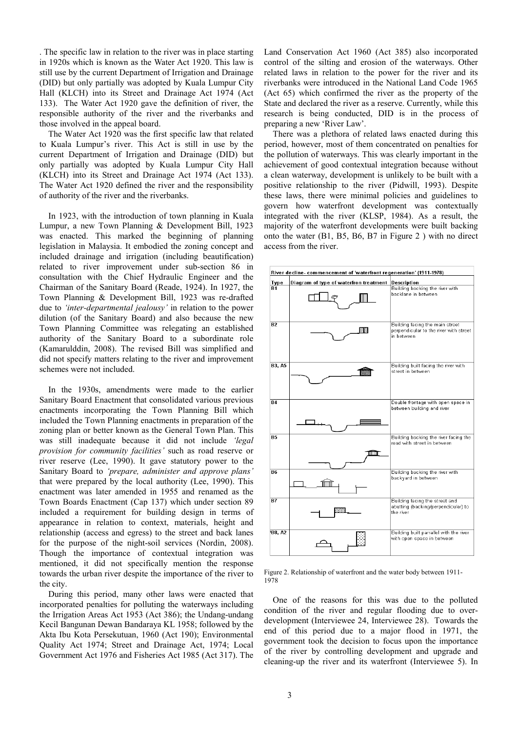<span id="page-2-0"></span>. The specific law in relation to the river was in place starting in 1920s which is known as the Water Act 1920. This law is still use by the current Department of Irrigation and Drainage (DID) but only partially was adopted by Kuala Lumpur City Hall (KLCH) into its Street and Drainage Act 1974 (Act 133). The Water Act 1920 gave the definition of river, the responsible authority of the river and the riverbanks and those involved in the appeal board.

The Water Act 1920 was the first specific law that related to Kuala Lumpur's river. This Act is still in use by the current Department of Irrigation and Drainage (DID) but only partially was adopted by Kuala Lumpur City Hall (KLCH) into its Street and Drainage Act 1974 (Act 133). The Water Act 1920 defined the river and the responsibility of authority of the river and the riverbanks.

In 1923, with the introduction of town planning in Kuala Lumpur, a new Town Planning & Development Bill, 1923 was enacted. This marked the beginning of planning legislation in Malaysia. It embodied the zoning concept and included drainage and irrigation (including beautification) related to river improvement under sub-section 86 in consultation with the Chief Hydraulic Engineer and the Chairman of the Sanitary Board (Reade, 1924). In 1927, the Town Planning & Development Bill, 1923 was re-drafted due to *'inter-departmental jealousy'* in relation to the power dilution (of the Sanitary Board) and also because the new Town Planning Committee was relegating an established authority of the Sanitary Board to a subordinate role (Kamarulddin, 2008). The revised Bill was simplified and did not specify matters relating to the river and improvement schemes were not included.

In the 1930s, amendments were made to the earlier Sanitary Board Enactment that consolidated various previous enactments incorporating the Town Planning Bill which included the Town Planning enactments in preparation of the zoning plan or better known as the General Town Plan. This was still inadequate because it did not include *'legal provision for community facilities'* such as road reserve or river reserve (Lee, 1990). It gave statutory power to the Sanitary Board to *'prepare, administer and approve plans'* that were prepared by the local authority (Lee, 1990). This enactment was later amended in 1955 and renamed as the Town Boards Enactment (Cap 137) which under section 89 included a requirement for building design in terms of appearance in relation to context, materials, height and relationship (access and egress) to the street and back lanes for the purpose of the night-soil services (Nordin, 2008). Though the importance of contextual integration was mentioned, it did not specifically mention the response towards the urban river despite the importance of the river to the city.

During this period, many other laws were enacted that incorporated penalties for polluting the waterways including the Irrigation Areas Act 1953 (Act 386); the Undang-undang Kecil Bangunan Dewan Bandaraya KL 1958; followed by the Akta Ibu Kota Persekutuan, 1960 (Act 190); Environmental Quality Act 1974; Street and Drainage Act, 1974; Local Government Act 1976 and Fisheries Act 1985 (Act 317). The Land Conservation Act 1960 (Act 385) also incorporated control of the silting and erosion of the waterways. Other related laws in relation to the power for the river and its riverbanks were introduced in the National Land Code 1965 (Act 65) which confirmed the river as the property of the State and declared the river as a reserve. Currently, while this research is being conducted, DID is in the process of preparing a new 'River Law'.

There was a plethora of related laws enacted during this period, however, most of them concentrated on penalties for the pollution of waterways. This was clearly important in the achievement of good contextual integration because without a clean waterway, development is unlikely to be built with a positive relationship to the river (Pidwill, 1993). Despite these laws, there were minimal policies and guidelines to govern how waterfront development was contextually integrated with the river (KLSP, 1984). As a result, the majority of the waterfront developments were built backing onto the water (B1, B5, B6, B7 in Figure 2 ) with no direct access from the river.



Figure 2. Relationship of waterfront and the water body between 1911- 1978

One of the reasons for this was due to the polluted condition of the river and regular flooding due to overdevelopment (Interviewee 24, Interviewee 28). Towards the end of this period due to a major flood in 1971, the government took the decision to focus upon the importance of the river by controlling development and upgrade and cleaning-up the river and its waterfront (Interviewee 5). In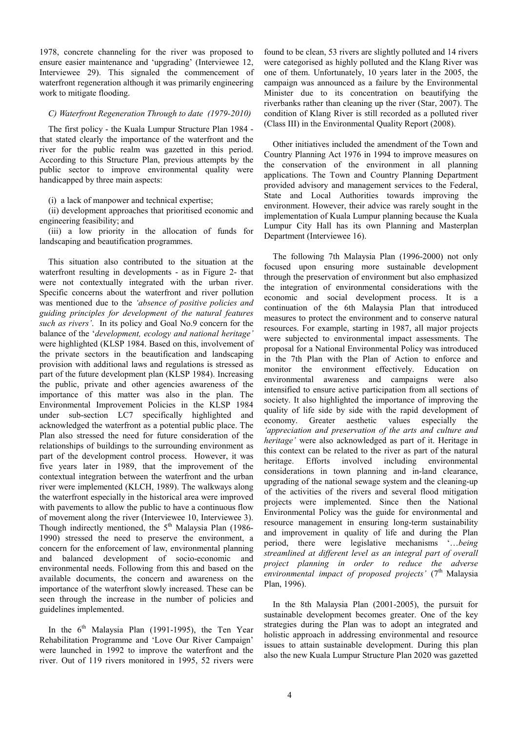1978, concrete channeling for the river was proposed to ensure easier maintenance and 'upgrading' (Interviewee 12, Interviewee 29). This signaled the commencement of waterfront regeneration although it was primarily engineering work to mitigate flooding.

# *C) Waterfront Regeneration Through to date (1979-2010)*

The first policy - the Kuala Lumpur Structure Plan 1984 that stated clearly the importance of the waterfront and the river for the public realm was gazetted in this period. According to this Structure Plan, previous attempts by the public sector to improve environmental quality were handicapped by three main aspects:

## (i) a lack of manpower and technical expertise;

(ii) development approaches that prioritised economic and engineering feasibility; and

(iii) a low priority in the allocation of funds for landscaping and beautification programmes.

This situation also contributed to the situation at the waterfront resulting in developments - as in [Figure 2](#page-2-0)- that were not contextually integrated with the urban river. Specific concerns about the waterfront and river pollution was mentioned due to the *'absence of positive policies and guiding principles for development of the natural features such as rivers'*. In its policy and Goal No.9 concern for the balance of the '*development, ecology and national heritage'* were highlighted (KLSP 1984. Based on this, involvement of the private sectors in the beautification and landscaping provision with additional laws and regulations is stressed as part of the future development plan (KLSP 1984). Increasing the public, private and other agencies awareness of the importance of this matter was also in the plan. The Environmental Improvement Policies in the KLSP 1984 under sub-section LC7 specifically highlighted and acknowledged the waterfront as a potential public place. The Plan also stressed the need for future consideration of the relationships of buildings to the surrounding environment as part of the development control process. However, it was five years later in 1989, that the improvement of the contextual integration between the waterfront and the urban river were implemented (KLCH, 1989). The walkways along the waterfront especially in the historical area were improved with pavements to allow the public to have a continuous flow of movement along the river (Interviewee 10, Interviewee 3). Though indirectly mentioned, the  $5<sup>th</sup>$  Malaysia Plan (1986-1990) stressed the need to preserve the environment, a concern for the enforcement of law, environmental planning and balanced development of socio-economic and environmental needs. Following from this and based on the available documents, the concern and awareness on the importance of the waterfront slowly increased. These can be seen through the increase in the number of policies and guidelines implemented.

In the  $6<sup>th</sup>$  Malaysia Plan (1991-1995), the Ten Year Rehabilitation Programme and 'Love Our River Campaign' were launched in 1992 to improve the waterfront and the river. Out of 119 rivers monitored in 1995, 52 rivers were

found to be clean, 53 rivers are slightly polluted and 14 rivers were categorised as highly polluted and the Klang River was one of them. Unfortunately, 10 years later in the 2005, the campaign was announced as a failure by the Environmental Minister due to its concentration on beautifying the riverbanks rather than cleaning up the river (Star, 2007). The condition of Klang River is still recorded as a polluted river (Class III) in the Environmental Quality Report (2008).

Other initiatives included the amendment of the Town and Country Planning Act 1976 in 1994 to improve measures on the conservation of the environment in all planning applications. The Town and Country Planning Department provided advisory and management services to the Federal, State and Local Authorities towards improving the environment. However, their advice was rarely sought in the implementation of Kuala Lumpur planning because the Kuala Lumpur City Hall has its own Planning and Masterplan Department (Interviewee 16).

The following 7th Malaysia Plan (1996-2000) not only focused upon ensuring more sustainable development through the preservation of environment but also emphasized the integration of environmental considerations with the economic and social development process. It is a continuation of the 6th Malaysia Plan that introduced measures to protect the environment and to conserve natural resources. For example, starting in 1987, all major projects were subjected to environmental impact assessments. The proposal for a National Environmental Policy was introduced in the 7th Plan with the Plan of Action to enforce and monitor the environment effectively. Education on environmental awareness and campaigns were also intensified to ensure active participation from all sections of society. It also highlighted the importance of improving the quality of life side by side with the rapid development of economy. Greater aesthetic values especially the *'appreciation and preservation of the arts and culture and heritage'* were also acknowledged as part of it. Heritage in this context can be related to the river as part of the natural heritage. Efforts involved including environmental considerations in town planning and in-land clearance, upgrading of the national sewage system and the cleaning-up of the activities of the rivers and several flood mitigation projects were implemented. Since then the National Environmental Policy was the guide for environmental and resource management in ensuring long-term sustainability and improvement in quality of life and during the Plan period, there were legislative mechanisms '…*being streamlined at different level as an integral part of overall project planning in order to reduce the adverse*  environmental impact of proposed projects' (7<sup>th</sup> Malaysia Plan, 1996).

In the 8th Malaysia Plan (2001-2005), the pursuit for sustainable development becomes greater. One of the key strategies during the Plan was to adopt an integrated and holistic approach in addressing environmental and resource issues to attain sustainable development. During this plan also the new Kuala Lumpur Structure Plan 2020 was gazetted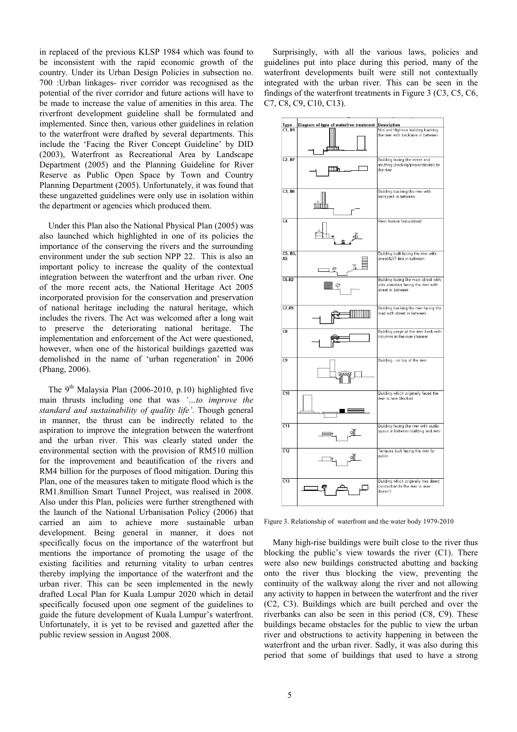<span id="page-4-0"></span>in replaced of the previous KLSP 1984 which was found to be inconsistent with the rapid economic growth of the country. Under its Urban Design Policies in subsection no. 700 :Urban linkages- river corridor was recognised as the potential of the river corridor and future actions will have to be made to increase the value of amenities in this area. The riverfront development guideline shall be formulated and implemented. Since then, various other guidelines in relation to the waterfront were drafted by several departments. This include the 'Facing the River Concept Guideline' by DID (2003), Waterfront as Recreational Area by Landscape Department (2005) and the Planning Guideline for River Reserve as Public Open Space by Town and Country Planning Department (2005). Unfortunately, it was found that these ungazetted guidelines were only use in isolation within the department or agencies which produced them.

Under this Plan also the National Physical Plan (2005) was also launched which highlighted in one of its policies the importance of the conserving the rivers and the surrounding environment under the sub section NPP 22. This is also an important policy to increase the quality of the contextual integration between the waterfront and the urban river. One of the more recent acts, the National Heritage Act 2005 incorporated provision for the conservation and preservation of national heritage including the natural heritage, which includes the rivers. The Act was welcomed after a long wait to preserve the deteriorating national heritage. The implementation and enforcement of the Act were questioned, however, when one of the historical buildings gazetted was demolished in the name of 'urban regeneration' in 2006 (Phang, 2006).

The  $9<sup>th</sup>$  Malaysia Plan (2006-2010, p.10) highlighted five main thrusts including one that was *'…to improve the standard and sustainability of quality life'*. Though general in manner, the thrust can be indirectly related to the aspiration to improve the integration between the waterfront and the urban river. This was clearly stated under the environmental section with the provision of RM510 million for the improvement and beautification of the rivers and RM4 billion for the purposes of flood mitigation. During this Plan, one of the measures taken to mitigate flood which is the RM1.8million Smart Tunnel Project, was realised in 2008. Also under this Plan, policies were further strengthened with the launch of the National Urbanisation Policy (2006) that carried an aim to achieve more sustainable urban development. Being general in manner, it does not specifically focus on the importance of the waterfront but mentions the importance of promoting the usage of the existing facilities and returning vitality to urban centres thereby implying the importance of the waterfront and the urban river. This can be seen implemented in the newly drafted Local Plan for Kuala Lumpur 2020 which in detail specifically focused upon one segment of the guidelines to guide the future development of Kuala Lumpur's waterfront. Unfortunately, it is yet to be revised and gazetted after the public review session in August 2008.

Surprisingly, with all the various laws, policies and guidelines put into place during this period, many of the waterfront developments built were still not contextually integrated with the urban river. This can be seen in the findings of the waterfront treatments in Figure 3 (C3, C5, C6, C7, C8, C9, C10, C13).



Figure 3. Relationship of waterfront and the water body 1979-2010

 Many high-rise buildings were built close to the river thus blocking the public's view towards the river (C1). There were also new buildings constructed abutting and backing onto the river thus blocking the view, preventing the continuity of the walkway along the river and not allowing any activity to happen in between the waterfront and the river (C2, C3). Buildings which are built perched and over the riverbanks can also be seen in this period (C8, C9). These buildings became obstacles for the public to view the urban river and obstructions to activity happening in between the waterfront and the urban river. Sadly, it was also during this period that some of buildings that used to have a strong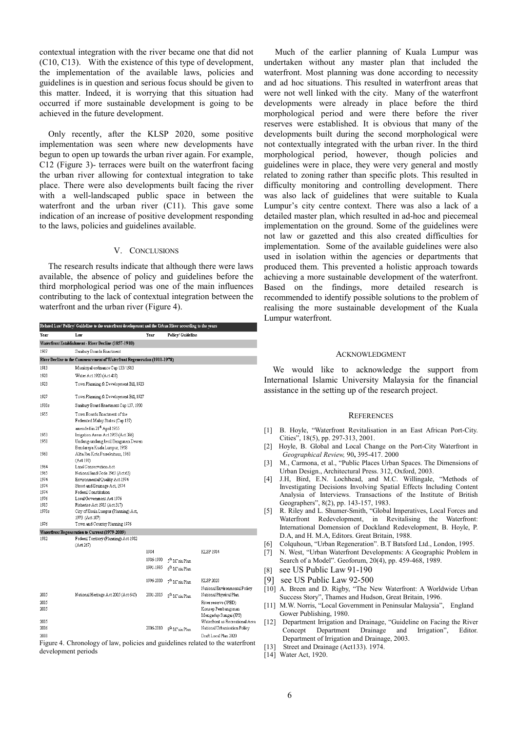contextual integration with the river became one that did not (C10, C13). With the existence of this type of development, the implementation of the available laws, policies and guidelines is in question and serious focus should be given to this matter. Indeed, it is worrying that this situation had occurred if more sustainable development is going to be achieved in the future development.

Only recently, after the KLSP 2020, some positive implementation was seen where new developments have begun to open up towards the urban river again. For example, C12 [\(Figure 3](#page-4-0))- terraces were built on the waterfront facing the urban river allowing for contextual integration to take place. There were also developments built facing the river with a well-landscaped public space in between the waterfront and the urban river (C11). This gave some indication of an increase of positive development responding to the laws, policies and guidelines available.

### V. CONCLUSIONS

The research results indicate that although there were laws available, the absence of policy and guidelines before the third morphological period was one of the main influences contributing to the lack of contextual integration between the waterfront and the urban river (Figure 4).

|              | Related Law/Policy/ Guideline to the waterfront development and the Urban River according to the years |           |                            |                                                          |
|--------------|--------------------------------------------------------------------------------------------------------|-----------|----------------------------|----------------------------------------------------------|
| Year         | Law                                                                                                    | Year      | Policy/ Guideline          |                                                          |
|              | Waterfront Establishment - River Decline (1857-1910)                                                   |           |                            |                                                          |
| 1907         | Sanitary Boards Enactment                                                                              |           |                            |                                                          |
|              | River Decline to the Commencement of Waterfront Regeneration (1911-1978)                               |           |                            |                                                          |
| 1913         | Municipal ordinance Cap 133/1913                                                                       |           |                            |                                                          |
| 1920         | Water Act 1920 (Act 418)                                                                               |           |                            |                                                          |
| 1923         | Town Planning & Development Bill, 1923                                                                 |           |                            |                                                          |
|              |                                                                                                        |           |                            |                                                          |
| 1927         | Town Planning & Development Bill, 1927                                                                 |           |                            |                                                          |
| 1930s        | Sanitary Board Enactment Cap 137, 1930                                                                 |           |                            |                                                          |
| 1955         | Town Boards Enactment of the                                                                           |           |                            |                                                          |
|              | Federated Malay States (Cap 137)                                                                       |           |                            |                                                          |
|              | amended in 21 <sup>st</sup> April 1955                                                                 |           |                            |                                                          |
| 1953         | Irrigation Areas Act 1953 (Act 386)                                                                    |           |                            |                                                          |
| 1958         | Undang-undang kecil Bangunan Dewan                                                                     |           |                            |                                                          |
|              | Bandaraya Kuala Lumpur, 1958                                                                           |           |                            |                                                          |
| 1960         | Akta Ibu Kota Persekutuan, 1960                                                                        |           |                            |                                                          |
|              | (Act 190)                                                                                              |           |                            |                                                          |
| 1964         | Land Conservation Act                                                                                  |           |                            |                                                          |
| 1965         | National land Code 1965 (Act 65)                                                                       |           |                            |                                                          |
| 1974         | Environmental Quality Act 1974                                                                         |           |                            |                                                          |
| 1974         | Street and Drainage Act, 1974                                                                          |           |                            |                                                          |
| 1974         | Federal Constitution                                                                                   |           |                            |                                                          |
| 1976         | Local Government Act 1976                                                                              |           |                            |                                                          |
| 1985         | Fisheries Act 1985 (Act 317)                                                                           |           |                            |                                                          |
| 1970s        | City of Kuala Lumpur (Planning) Act,                                                                   |           |                            |                                                          |
|              | 1973 (Act 107)                                                                                         |           |                            |                                                          |
| 1976         | Town and Country Planning 1976                                                                         |           |                            |                                                          |
|              | Waterfront Regeneration to Current (1979-2009)                                                         |           |                            |                                                          |
| 1982         | Federal Territory (Planning) Act 1982                                                                  |           |                            |                                                          |
|              | (Act 267)                                                                                              |           |                            |                                                          |
|              |                                                                                                        | 1984      |                            | <b>KLSP 1984</b>                                         |
|              |                                                                                                        | 1986-1990 | 5 <sup>th</sup> M'sia Plan |                                                          |
|              |                                                                                                        | 1991-1995 | 6 <sup>th</sup> M'sia Plan |                                                          |
|              |                                                                                                        |           |                            | <b>KLSP 2020</b>                                         |
|              |                                                                                                        | 1996-2000 | 7 <sup>th</sup> M'sia Plan |                                                          |
| 2005         | National Heritage Act 2005 (Act 645)                                                                   | 2001-2005 | 8 <sup>th</sup> M'sia Plan | National Environmental Policy<br>National Physical Plan  |
|              |                                                                                                        |           |                            |                                                          |
| 2005         |                                                                                                        |           |                            | River reserve (JPBD)                                     |
| 2005         |                                                                                                        |           |                            | Konsep Pembangunan                                       |
|              |                                                                                                        |           |                            | Mengadap Sungai (JPS)<br>Waterfront as Recreational Area |
| 2005<br>2006 |                                                                                                        | 2006-2010 |                            |                                                          |
|              |                                                                                                        |           | <sup>oth</sup> M'sia Plan  | National Urbanisation Policy                             |
| 2008         |                                                                                                        |           |                            | Draft Local Plan 2020                                    |

Figure 4. Chronology of law, policies and guidelines related to the waterfront development periods

 Much of the earlier planning of Kuala Lumpur was undertaken without any master plan that included the waterfront. Most planning was done according to necessity and ad hoc situations. This resulted in waterfront areas that were not well linked with the city. Many of the waterfront developments were already in place before the third morphological period and were there before the river reserves were established. It is obvious that many of the developments built during the second morphological were not contextually integrated with the urban river. In the third morphological period, however, though policies and guidelines were in place, they were very general and mostly related to zoning rather than specific plots. This resulted in difficulty monitoring and controlling development. There was also lack of guidelines that were suitable to Kuala Lumpur's city centre context. There was also a lack of a detailed master plan, which resulted in ad-hoc and piecemeal implementation on the ground. Some of the guidelines were not law or gazetted and this also created difficulties for implementation. Some of the available guidelines were also used in isolation within the agencies or departments that produced them. This prevented a holistic approach towards achieving a more sustainable development of the waterfront. Based on the findings, more detailed research is recommended to identify possible solutions to the problem of realising the more sustainable development of the Kuala Lumpur waterfront.

## ACKNOWLEDGMENT

We would like to acknowledge the support from International Islamic University Malaysia for the financial assistance in the setting up of the research project.

#### **REFERENCES**

- [1] B. Hoyle, "Waterfront Revitalisation in an East African Port-City. Cities", 18(5), pp. 297-313, 2001.
- [2] Hoyle, B. Global and Local Change on the Port-City Waterfront in *Geographical Review,* 90**,** 395-417. 2000
- [3] M., Carmona, et al., "Public Places Urban Spaces. The Dimensions of Urban Design., Architectural Press. 312, Oxford, 2003.
- [4] J.H, Bird, E.N. Lochhead, and M.C. Willingale, "Methods of Investigating Decisions Involving Spatial Effects Including Content Analysia of Interviews. Transactions of the Institute of British Geographers", 8(2), pp. 143-157, 1983.
- [5] R. Riley and L. Shumer-Smith, "Global Imperatives, Local Forces and Waterfront Redevelopment, in Revitalising the Waterfront: International Domension of Dockland Redevelopment, B. Hoyle, P. D.A, and H. M.A, Editors. Great Britain, 1988.
- [6] Colquhoun, "Urban Regeneration". B.T Batsford Ltd., London, 1995.
- [7] N. West, "Urban Waterfront Developments: A Geographic Problem in Search of a Model". Geoforum, 20(4), pp. 459-468, 1989.
- [8] see US Public Law 91-190
- [9] see US Public Law 92-500
- [10] A. Breen and D. Rigby, "The New Waterfront: A Worldwide Urban Success Story", Thames and Hudson, Great Britain, 1996.
- [11] M.W. Norris, "Local Government in Peninsular Malaysia", England Gower Publishing, 1980.
- [12] Department Irrigation and Drainage, "Guideline on Facing the River Concept Department Drainage and Department of Irrigation and Drainage, 2003.
- [13] Street and Drainage (Act133). 1974.
- [14] Water Act, 1920.